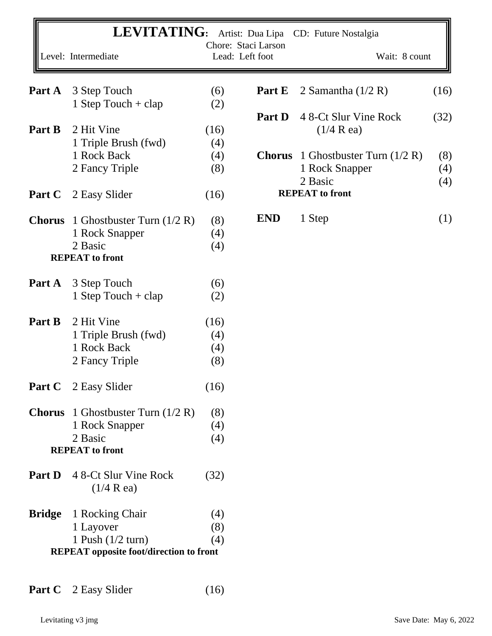|               | <b>LEVITATING:</b>                             |      | Chore: Staci Larson | Artist: Dua Lipa CD: Future Nostalgia |      |
|---------------|------------------------------------------------|------|---------------------|---------------------------------------|------|
|               | Level: Intermediate                            |      | Lead: Left foot     | Wait: 8 count                         |      |
| Part A        | 3 Step Touch                                   | (6)  | Part E              | 2 Samantha $(1/2 R)$                  | (16) |
|               | 1 Step Touch $+$ clap                          | (2)  |                     |                                       |      |
|               |                                                |      | <b>Part D</b>       | 4 8-Ct Slur Vine Rock                 | (32) |
| Part B        | 2 Hit Vine                                     | (16) |                     | $(1/4 \text{ R} \text{ ea})$          |      |
|               | 1 Triple Brush (fwd)                           | (4)  |                     |                                       |      |
|               | 1 Rock Back                                    | (4)  | <b>Chorus</b>       | 1 Ghostbuster Turn $(1/2 R)$          | (8)  |
|               | 2 Fancy Triple                                 | (8)  |                     | 1 Rock Snapper                        | (4)  |
|               |                                                |      |                     | 2 Basic                               | (4)  |
| Part C        |                                                |      |                     | <b>REPEAT</b> to front                |      |
|               | 2 Easy Slider                                  | (16) |                     |                                       |      |
| <b>Chorus</b> | 1 Ghostbuster Turn $(1/2 R)$                   | (8)  | <b>END</b>          | 1 Step                                | (1)  |
|               | 1 Rock Snapper                                 | (4)  |                     |                                       |      |
|               | 2 Basic                                        | (4)  |                     |                                       |      |
|               | <b>REPEAT</b> to front                         |      |                     |                                       |      |
|               |                                                |      |                     |                                       |      |
| Part A        | 3 Step Touch                                   | (6)  |                     |                                       |      |
|               | 1 Step Touch + $clap$                          | (2)  |                     |                                       |      |
|               |                                                |      |                     |                                       |      |
| Part B        | 2 Hit Vine                                     | (16) |                     |                                       |      |
|               | 1 Triple Brush (fwd)                           | (4)  |                     |                                       |      |
|               | 1 Rock Back                                    | (4)  |                     |                                       |      |
|               | 2 Fancy Triple                                 | (8)  |                     |                                       |      |
|               |                                                |      |                     |                                       |      |
|               | <b>Part C</b> 2 Easy Slider                    | (16) |                     |                                       |      |
|               |                                                |      |                     |                                       |      |
|               | <b>Chorus</b> 1 Ghostbuster Turn $(1/2 R)$     | (8)  |                     |                                       |      |
|               | 1 Rock Snapper                                 | (4)  |                     |                                       |      |
|               | 2 Basic                                        | (4)  |                     |                                       |      |
|               | <b>REPEAT</b> to front                         |      |                     |                                       |      |
|               |                                                |      |                     |                                       |      |
| Part D        | 4 8-Ct Slur Vine Rock                          | (32) |                     |                                       |      |
|               | $(1/4 \text{ R} \text{ ea})$                   |      |                     |                                       |      |
|               |                                                |      |                     |                                       |      |
| <b>Bridge</b> | 1 Rocking Chair                                | (4)  |                     |                                       |      |
|               | 1 Layover                                      | (8)  |                     |                                       |      |
|               | 1 Push $(1/2$ turn)                            | (4)  |                     |                                       |      |
|               | <b>REPEAT</b> opposite foot/direction to front |      |                     |                                       |      |
|               |                                                |      |                     |                                       |      |

Part C 2 Easy Slider (16)